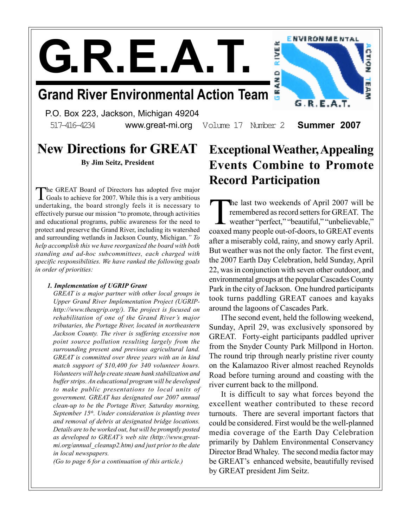$\mathbf{G.R. E.A.}$ 

### Grand River Environmental Action Team

P.O. Box 223, Jackson, Michigan 49204 517-416-4234 www.great-mi.org Volume 17 Number 2 **Summer 2007** 



# New Directions for GREAT

By Jim Seitz, President

The GREAT Board of Directors has adopted five major<br>Goals to achieve for 2007. While this is a very ambitious he GREAT Board of Directors has adopted five major undertaking, the board strongly feels it is necessary to effectively pursue our mission "to promote, through activities and educational programs, public awareness for the need to protect and preserve the Grand River, including its watershed and surrounding wetlands in Jackson County, Michigan." To help accomplish this we have reorganized the board with both standing and ad-hoc subcommittees, each charged with specific responsibilities. We have ranked the following goals in order of priorities:

#### 1. Implementation of UGRIP Grant

GREAT is a major partner with other local groups in Upper Grand River Implementation Project (UGRIPhttp://www.theugrip.org/). The project is focused on rehabilitation of one of the Grand River's major tributaries, the Portage River, located in northeastern Jackson County. The river is suffering excessive non point source pollution resulting largely from the surrounding present and previous agricultural land. GREAT is committed over three years with an in kind match support of \$10,400 for 340 volunteer hours. Volunteers will help create steam bank stabilization and buffer strips. An educational program will be developed to make public presentations to local units of government. GREAT has designated our 2007 annual clean-up to be the Portage River, Saturday morning, September  $15<sup>th</sup>$ . Under consideration is planting trees and removal of debris at designated bridge locations. Details are to be worked out, but will be promptly posted as developed to GREAT's web site (http://www.greatmi.org/annual cleanup2.htm) and just prior to the date in local newspapers.

(Go to page 6 for a continuation of this article.)

### Exceptional Weather, Appealing Events Combine to Promote Record Participation

The last two weekends of April 2007 will be remembered as record setters for GREAT. The weather "perfect," "beautiful," "unbelievable," coaxed many people out-of-doors, to GREAT events he last two weekends of April 2007 will be remembered as record setters for GREAT. The weather "perfect," "beautiful," "unbelievable," after a miserably cold, rainy, and snowy early April. But weather was not the only factor. The first event, the 2007 Earth Day Celebration, held Sunday, April 22, was in conjunction with seven other outdoor, and environmental groups at the popular Cascades County Park in the city of Jackson. One hundred participants took turns paddling GREAT canoes and kayaks around the lagoons of Cascades Park.

IThe second event, held the following weekend, Sunday, April 29, was exclusively sponsored by GREAT. Forty-eight participants paddled upriver from the Snyder County Park Millpond in Horton. The round trip through nearly pristine river county on the Kalamazoo River almost reached Reynolds Road before turning around and coasting with the river current back to the millpond.

It is difficult to say what forces beyond the excellent weather contributed to these record turnouts. There are several important factors that could be considered. First would be the well-planned media coverage of the Earth Day Celebration primarily by Dahlem Environmental Conservancy Director Brad Whaley. The second media factor may be GREAT's enhanced website, beautifully revised by GREAT president Jim Seitz.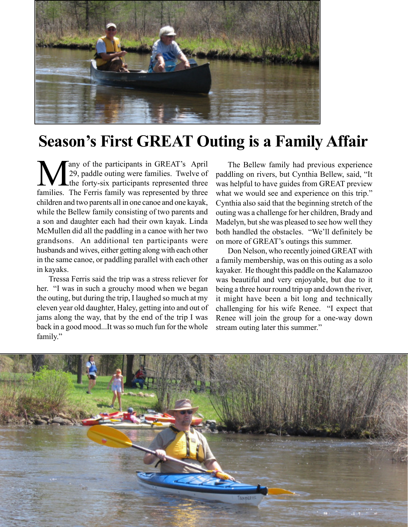

# Season's First GREAT Outing is a Family Affair

Many of the participants in GREAT's April<br>29, paddle outing were families. Twelve of<br>families. The Ferris family was represented by three any of the participants in GREAT's April 29, paddle outing were families. Twelve of the forty-six participants represented three children and two parents all in one canoe and one kayak, while the Bellew family consisting of two parents and a son and daughter each had their own kayak. Linda McMullen did all the paddling in a canoe with her two grandsons. An additional ten participants were husbands and wives, either getting along with each other in the same canoe, or paddling parallel with each other in kayaks.

Tressa Ferris said the trip was a stress reliever for her. "I was in such a grouchy mood when we began the outing, but during the trip, I laughed so much at my eleven year old daughter, Haley, getting into and out of jams along the way, that by the end of the trip I was back in a good mood...It was so much fun for the whole family."

The Bellew family had previous experience paddling on rivers, but Cynthia Bellew, said, "It was helpful to have guides from GREAT preview what we would see and experience on this trip." Cynthia also said that the beginning stretch of the outing was a challenge for her children, Brady and Madelyn, but she was pleased to see how well they both handled the obstacles. "We'll definitely be on more of GREAT's outings this summer.

Don Nelson, who recently joined GREAT with a family membership, was on this outing as a solo kayaker. He thought this paddle on the Kalamazoo was beautiful and very enjoyable, but due to it being a three hour round trip up and down the river, it might have been a bit long and technically challenging for his wife Renee. "I expect that Renee will join the group for a one-way down stream outing later this summer."

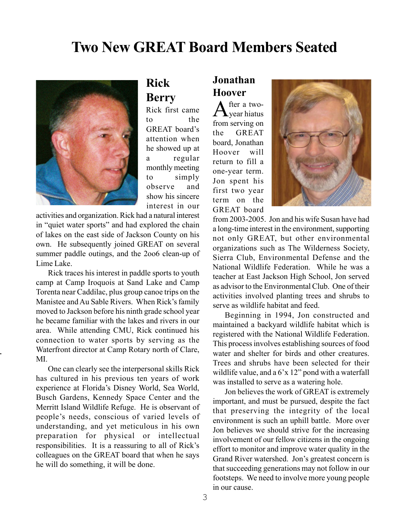### Two New GREAT Board Members Seated



### Rick Berry

Rick first came to the GREAT board's attention when he showed up at a regular monthly meeting to simply observe and show his sincere interest in our

activities and organization. Rick had a natural interest in "quiet water sports" and had explored the chain of lakes on the east side of Jackson County on his own. He subsequently joined GREAT on several summer paddle outings, and the 2oo6 clean-up of Lime Lake.

Rick traces his interest in paddle sports to youth camp at Camp Iroquois at Sand Lake and Camp Torenta near Caddilac, plus group canoe trips on the Manistee and Au Sable Rivers. When Rick's family moved to Jackson before his ninth grade school year he became familiar with the lakes and rivers in our area. While attending CMU, Rick continued his connection to water sports by serving as the Waterfront director at Camp Rotary north of Clare, MI.

One can clearly see the interpersonal skills Rick has cultured in his previous ten years of work experience at Florida's Disney World, Sea World, Busch Gardens, Kennedy Space Center and the Merritt Island Wildlife Refuge. He is observant of people's needs, conscious of varied levels of understanding, and yet meticulous in his own preparation for physical or intellectual responsibilities. It is a reassuring to all of Rick's colleagues on the GREAT board that when he says he will do something, it will be done.

### Jonathan Hoover

After a two-<br>Cyear hiatus fter a twofrom serving on the GREAT board, Jonathan Hoover will return to fill a one-year term. Jon spent his first two year term on the GREAT board



from 2003-2005. Jon and his wife Susan have had a long-time interest in the environment, supporting not only GREAT, but other environmental organizations such as The Wilderness Society, Sierra Club, Environmental Defense and the National Wildlife Federation. While he was a teacher at East Jackson High School, Jon served as advisor to the Environmental Club. One of their activities involved planting trees and shrubs to serve as wildlife habitat and feed.

Beginning in 1994, Jon constructed and maintained a backyard wildlife habitat which is registered with the National Wildlife Federation. This process involves establishing sources of food water and shelter for birds and other creatures. Trees and shrubs have been selected for their wildlife value, and a 6'x 12" pond with a waterfall was installed to serve as a watering hole.

Jon believes the work of GREAT is extremely important, and must be pursued, despite the fact that preserving the integrity of the local environment is such an uphill battle. More over Jon believes we should strive for the increasing involvement of our fellow citizens in the ongoing effort to monitor and improve water quality in the Grand River watershed. Jon's greatest concern is that succeeding generations may not follow in our footsteps. We need to involve more young people in our cause.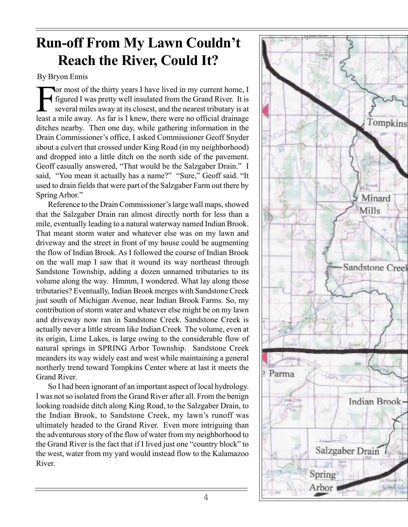### Run-off From My Lawn Couldn't Reach the River, Could It?

#### By Bryon Ennis

For most of the thirty years I have lived in my current home, I figured I was pretty well insulated from the Grand River. It is several miles away at its closest, and the nearest tributary is at least a mile away. As far i or most of the thirty years I have lived in my current home, I figured I was pretty well insulated from the Grand River. It is several miles away at its closest, and the nearest tributary is at ditches nearby. Then one day, while gathering information in the Drain Commissioner's office, I asked Commissioner Geoff Snyder about a culvert that crossed under King Road (in my neighborhood) and dropped into a little ditch on the north side of the pavement. Geoff casually answered, "That would be the Salzgaber Drain." I said, "You mean it actually has a name?" "Sure," Geoff said. "It used to drain fields that were part of the Salzgaber Farm out there by Spring Arbor."

Reference to the Drain Commissioner's large wall maps, showed that the Salzgaber Drain ran almost directly north for less than a mile, eventually leading to a natural waterway named Indian Brook. That meant storm water and whatever else was on my lawn and driveway and the street in front of my house could be augmenting the flow of Indian Brook. As I followed the course of Indian Brook on the wall map I saw that it wound its way northeast through Sandstone Township, adding a dozen unnamed tributaries to its volume along the way. Hmmm, I wondered. What lay along those tributaries? Eventually, Indian Brook merges with Sandstone Creek just south of Michigan Avenue, near Indian Brook Farms. So, my contribution of storm water and whatever else might be on my lawn and driveway now ran in Sandstone Creek. Sandstone Creek is actually never a little stream like Indian Creek The volume, even at its origin, Lime Lakes, is large owing to the considerable flow of natural springs in SPRING Arbor Township. Sandstone Creek meanders its way widely east and west while maintaining a general northerly trend toward Tompkins Center where at last it meets the Grand River.

So I had been ignorant of an important aspect of local hydrology. I was not so isolated from the Grand River after all. From the benign looking roadside ditch along King Road, to the Salzgaber Drain, to the Indian Brook, to Sandstone Creek, my lawn's runoff was ultimately headed to the Grand River. Even more intriguing than the adventurous story of the flow of water from my neighborhood to the Grand River is the fact that if I lived just one "country block" to the west, water from my yard would instead flow to the Kalamazoo River.